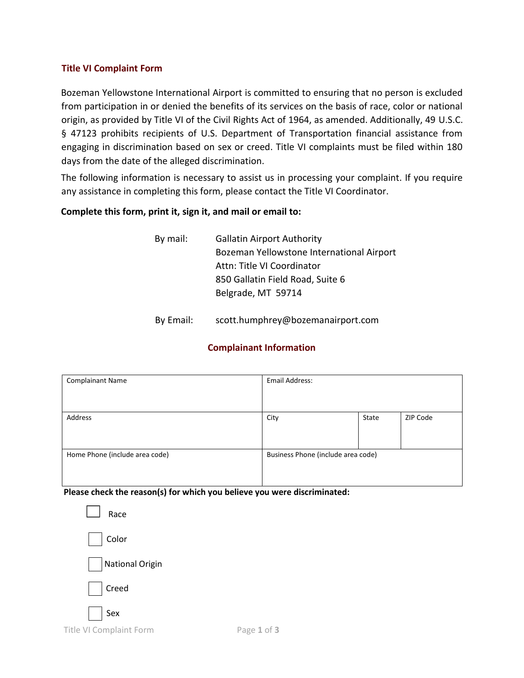### **Title VI Complaint Form**

Bozeman Yellowstone International Airport is committed to ensuring that no person is excluded from participation in or denied the benefits of its services on the basis of race, color or national origin, as provided by Title VI of the Civil Rights Act of 1964, as amended. Additionally, 49 U.S.C. § 47123 prohibits recipients of U.S. Department of Transportation financial assistance from engaging in discrimination based on sex or creed. Title VI complaints must be filed within 180 days from the date of the alleged discrimination.

The following information is necessary to assist us in processing your complaint. If you require any assistance in completing this form, please contact the Title VI Coordinator.

#### **Complete this form, print it, sign it, and mail or email to:**

- By mail: Gallatin Airport Authority Bozeman Yellowstone International Airport Attn: Title VI Coordinator 850 Gallatin Field Road, Suite 6 Belgrade, MT 59714
- By Email: scott.humphrey@bozemanairport.com

## **Complainant Information**

| <b>Complainant Name</b>        | Email Address:                     |       |          |
|--------------------------------|------------------------------------|-------|----------|
|                                |                                    |       |          |
|                                |                                    |       |          |
| Address                        | City                               | State | ZIP Code |
|                                |                                    |       |          |
|                                |                                    |       |          |
| Home Phone (include area code) | Business Phone (include area code) |       |          |
|                                |                                    |       |          |
|                                |                                    |       |          |

**Please check the reason(s) for which you believe you were discriminated:** 

| Race            |  |
|-----------------|--|
| Color           |  |
| National Origin |  |
| $\Box$ Creed    |  |
| Sex             |  |

Title VI Complaint Form Page 1 of 3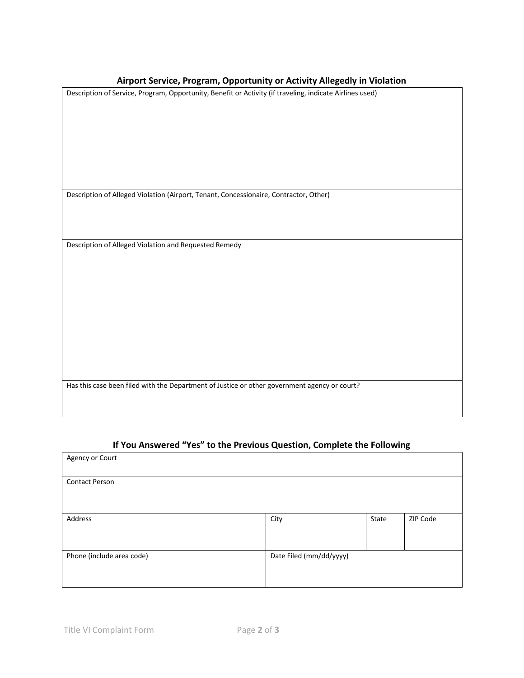## **Airport Service, Program, Opportunity or Activity Allegedly in Violation**

| All port service, Program, Opportunity or Activity Allegeary in Violation                                |
|----------------------------------------------------------------------------------------------------------|
| Description of Service, Program, Opportunity, Benefit or Activity (if traveling, indicate Airlines used) |
|                                                                                                          |
|                                                                                                          |
|                                                                                                          |
|                                                                                                          |
|                                                                                                          |
|                                                                                                          |
| Description of Alleged Violation (Airport, Tenant, Concessionaire, Contractor, Other)                    |
|                                                                                                          |
|                                                                                                          |
| Description of Alleged Violation and Requested Remedy                                                    |
|                                                                                                          |
|                                                                                                          |
|                                                                                                          |
|                                                                                                          |
|                                                                                                          |
|                                                                                                          |
|                                                                                                          |
|                                                                                                          |
| Has this case been filed with the Department of Justice or other government agency or court?             |
|                                                                                                          |
|                                                                                                          |

# **If You Answered "Yes" to the Previous Question, Complete the Following**

| Agency or Court           |                         |       |          |
|---------------------------|-------------------------|-------|----------|
| <b>Contact Person</b>     |                         |       |          |
|                           |                         |       |          |
| Address                   | City                    | State | ZIP Code |
|                           |                         |       |          |
| Phone (include area code) | Date Filed (mm/dd/yyyy) |       |          |
|                           |                         |       |          |